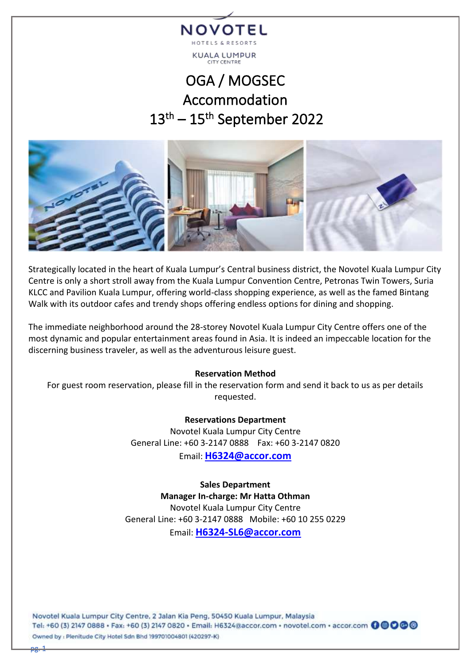

# OGA / MOGSEC Accommodation  $13<sup>th</sup> - 15<sup>th</sup>$  September 2022



Strategically located in the heart of Kuala Lumpur's Central business district, the Novotel Kuala Lumpur City Centre is only a short stroll away from the Kuala Lumpur Convention Centre, Petronas Twin Towers, Suria KLCC and Pavilion Kuala Lumpur, offering world-class shopping experience, as well as the famed Bintang Walk with its outdoor cafes and trendy shops offering endless options for dining and shopping.

The immediate neighborhood around the 28-storey Novotel Kuala Lumpur City Centre offers one of the most dynamic and popular entertainment areas found in Asia. It is indeed an impeccable location for the discerning business traveler, as well as the adventurous leisure guest.

## **Reservation Method**

For guest room reservation, please fill in the reservation form and send it back to us as per details requested.

> **Reservations Department** Novotel Kuala Lumpur City Centre General Line: +60 3-2147 0888 Fax: +60 3-2147 0820

> > Email: **[H6324@accor.com](mailto:H6324@accor.com)**

**Sales Department Manager In-charge: Mr Hatta Othman** Novotel Kuala Lumpur City Centre General Line: +60 3-2147 0888 Mobile: +60 10 255 0229 Email: **[H6324-SL6@accor.com](mailto:H6324-SL6@accor.com)**

Novotel Kuala Lumpur City Centre, 2 Jalan Kia Peng, 50450 Kuala Lumpur, Malaysia Tel: +60 (3) 2147 0888 · Fax: +60 (3) 2147 0820 · Email: H6324@accor.com · novotel.com · accor.com + Owned by : Plenitude City Hotel Sdn Bhd 199701004801 (420297-K)